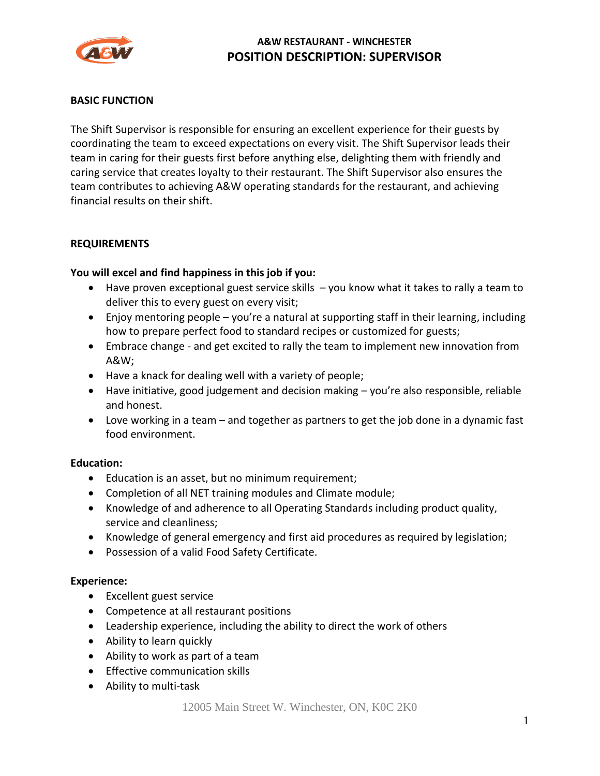

### **BASIC FUNCTION**

The Shift Supervisor is responsible for ensuring an excellent experience for their guests by coordinating the team to exceed expectations on every visit. The Shift Supervisor leads their team in caring for their guests first before anything else, delighting them with friendly and caring service that creates loyalty to their restaurant. The Shift Supervisor also ensures the team contributes to achieving A&W operating standards for the restaurant, and achieving financial results on their shift.

#### **REQUIREMENTS**

#### **You will excel and find happiness in this job if you:**

- Have proven exceptional guest service skills  $-$  you know what it takes to rally a team to deliver this to every guest on every visit;
- Enjoy mentoring people you're a natural at supporting staff in their learning, including how to prepare perfect food to standard recipes or customized for guests;
- Embrace change and get excited to rally the team to implement new innovation from A&W;
- Have a knack for dealing well with a variety of people;
- Have initiative, good judgement and decision making you're also responsible, reliable and honest.
- Love working in a team and together as partners to get the job done in a dynamic fast food environment.

#### **Education:**

- Education is an asset, but no minimum requirement;
- Completion of all NET training modules and Climate module;
- Knowledge of and adherence to all Operating Standards including product quality, service and cleanliness;
- Knowledge of general emergency and first aid procedures as required by legislation;
- Possession of a valid Food Safety Certificate.

#### **Experience:**

- Excellent guest service
- Competence at all restaurant positions
- Leadership experience, including the ability to direct the work of others
- Ability to learn quickly
- Ability to work as part of a team
- Effective communication skills
- Ability to multi-task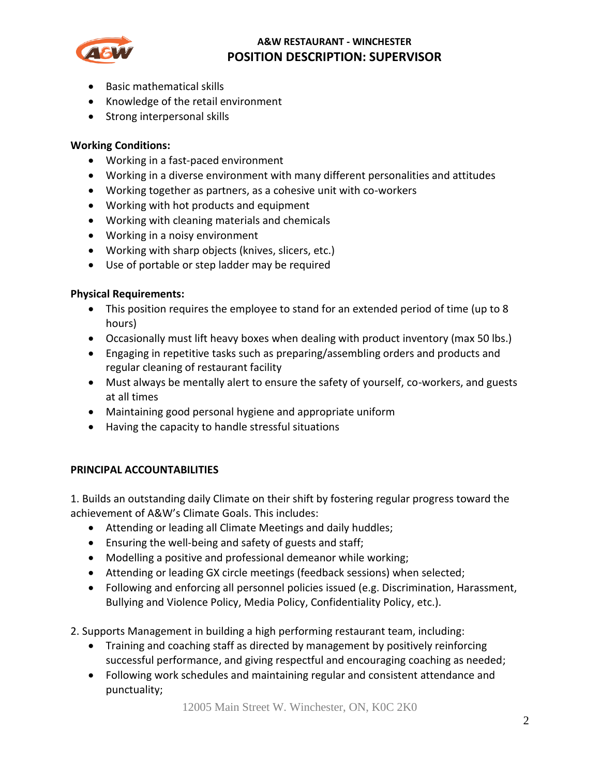

- Basic mathematical skills
- Knowledge of the retail environment
- Strong interpersonal skills

### **Working Conditions:**

- Working in a fast-paced environment
- Working in a diverse environment with many different personalities and attitudes
- Working together as partners, as a cohesive unit with co-workers
- Working with hot products and equipment
- Working with cleaning materials and chemicals
- Working in a noisy environment
- Working with sharp objects (knives, slicers, etc.)
- Use of portable or step ladder may be required

### **Physical Requirements:**

- This position requires the employee to stand for an extended period of time (up to 8 hours)
- Occasionally must lift heavy boxes when dealing with product inventory (max 50 lbs.)
- Engaging in repetitive tasks such as preparing/assembling orders and products and regular cleaning of restaurant facility
- Must always be mentally alert to ensure the safety of yourself, co-workers, and guests at all times
- Maintaining good personal hygiene and appropriate uniform
- Having the capacity to handle stressful situations

### **PRINCIPAL ACCOUNTABILITIES**

1. Builds an outstanding daily Climate on their shift by fostering regular progress toward the achievement of A&W's Climate Goals. This includes:

- Attending or leading all Climate Meetings and daily huddles;
- Ensuring the well-being and safety of guests and staff;
- Modelling a positive and professional demeanor while working;
- Attending or leading GX circle meetings (feedback sessions) when selected;
- Following and enforcing all personnel policies issued (e.g. Discrimination, Harassment, Bullying and Violence Policy, Media Policy, Confidentiality Policy, etc.).
- 2. Supports Management in building a high performing restaurant team, including:
	- Training and coaching staff as directed by management by positively reinforcing successful performance, and giving respectful and encouraging coaching as needed;
	- Following work schedules and maintaining regular and consistent attendance and punctuality;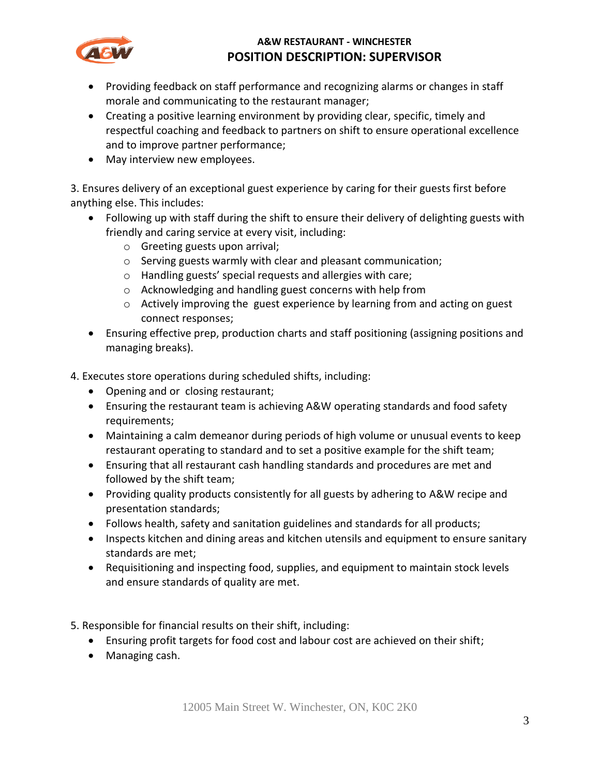

- Providing feedback on staff performance and recognizing alarms or changes in staff morale and communicating to the restaurant manager;
- Creating a positive learning environment by providing clear, specific, timely and respectful coaching and feedback to partners on shift to ensure operational excellence and to improve partner performance;
- May interview new employees.

3. Ensures delivery of an exceptional guest experience by caring for their guests first before anything else. This includes:

- Following up with staff during the shift to ensure their delivery of delighting guests with friendly and caring service at every visit, including:
	- o Greeting guests upon arrival;
	- o Serving guests warmly with clear and pleasant communication;
	- o Handling guests' special requests and allergies with care;
	- o Acknowledging and handling guest concerns with help from
	- $\circ$  Actively improving the guest experience by learning from and acting on guest connect responses;
- Ensuring effective prep, production charts and staff positioning (assigning positions and managing breaks).
- 4. Executes store operations during scheduled shifts, including:
	- Opening and or closing restaurant;
	- Ensuring the restaurant team is achieving A&W operating standards and food safety requirements;
	- Maintaining a calm demeanor during periods of high volume or unusual events to keep restaurant operating to standard and to set a positive example for the shift team;
	- Ensuring that all restaurant cash handling standards and procedures are met and followed by the shift team;
	- Providing quality products consistently for all guests by adhering to A&W recipe and presentation standards;
	- Follows health, safety and sanitation guidelines and standards for all products;
	- Inspects kitchen and dining areas and kitchen utensils and equipment to ensure sanitary standards are met;
	- Requisitioning and inspecting food, supplies, and equipment to maintain stock levels and ensure standards of quality are met.
- 5. Responsible for financial results on their shift, including:
	- Ensuring profit targets for food cost and labour cost are achieved on their shift;
	- Managing cash.